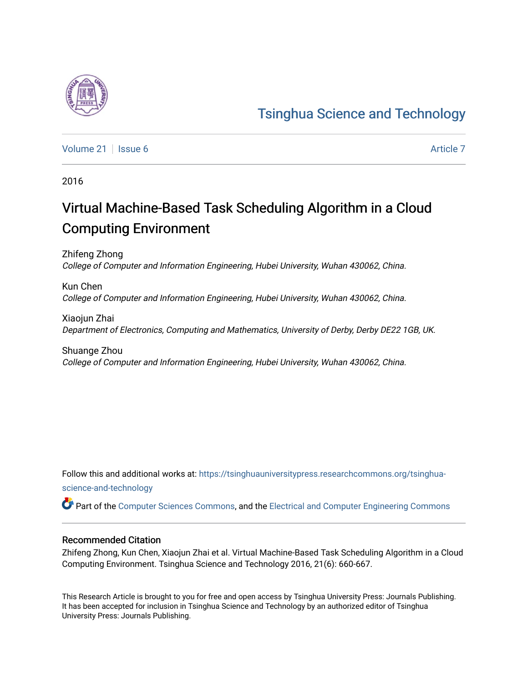## [Tsinghua Science and Technology](https://tsinghuauniversitypress.researchcommons.org/tsinghua-science-and-technology)

[Volume 21](https://tsinghuauniversitypress.researchcommons.org/tsinghua-science-and-technology/vol21) | [Issue 6](https://tsinghuauniversitypress.researchcommons.org/tsinghua-science-and-technology/vol21/iss6) [Article 7](https://tsinghuauniversitypress.researchcommons.org/tsinghua-science-and-technology/vol21/iss6/7) Article 7 Article 7 Article 7 Article 7 Article 7 Article 7

2016

# Virtual Machine-Based Task Scheduling Algorithm in a Cloud Computing Environment

Zhifeng Zhong College of Computer and Information Engineering, Hubei University, Wuhan 430062, China.

Kun Chen College of Computer and Information Engineering, Hubei University, Wuhan 430062, China.

Xiaojun Zhai Department of Electronics, Computing and Mathematics, University of Derby, Derby DE22 1GB, UK.

Shuange Zhou College of Computer and Information Engineering, Hubei University, Wuhan 430062, China.

Follow this and additional works at: [https://tsinghuauniversitypress.researchcommons.org/tsinghua](https://tsinghuauniversitypress.researchcommons.org/tsinghua-science-and-technology?utm_source=tsinghuauniversitypress.researchcommons.org%2Ftsinghua-science-and-technology%2Fvol21%2Fiss6%2F7&utm_medium=PDF&utm_campaign=PDFCoverPages)[science-and-technology](https://tsinghuauniversitypress.researchcommons.org/tsinghua-science-and-technology?utm_source=tsinghuauniversitypress.researchcommons.org%2Ftsinghua-science-and-technology%2Fvol21%2Fiss6%2F7&utm_medium=PDF&utm_campaign=PDFCoverPages)

Part of the [Computer Sciences Commons](http://network.bepress.com/hgg/discipline/142?utm_source=tsinghuauniversitypress.researchcommons.org%2Ftsinghua-science-and-technology%2Fvol21%2Fiss6%2F7&utm_medium=PDF&utm_campaign=PDFCoverPages), and the [Electrical and Computer Engineering Commons](http://network.bepress.com/hgg/discipline/266?utm_source=tsinghuauniversitypress.researchcommons.org%2Ftsinghua-science-and-technology%2Fvol21%2Fiss6%2F7&utm_medium=PDF&utm_campaign=PDFCoverPages)

## Recommended Citation

Zhifeng Zhong, Kun Chen, Xiaojun Zhai et al. Virtual Machine-Based Task Scheduling Algorithm in a Cloud Computing Environment. Tsinghua Science and Technology 2016, 21(6): 660-667.

This Research Article is brought to you for free and open access by Tsinghua University Press: Journals Publishing. It has been accepted for inclusion in Tsinghua Science and Technology by an authorized editor of Tsinghua University Press: Journals Publishing.

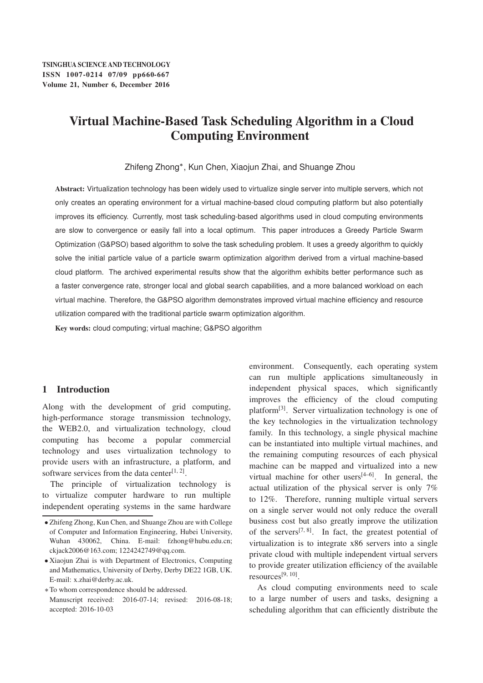## Virtual Machine-Based Task Scheduling Algorithm in a Cloud Computing Environment

Zhifeng Zhong\*, Kun Chen, Xiaojun Zhai, and Shuange Zhou

Abstract: Virtualization technology has been widely used to virtualize single server into multiple servers, which not only creates an operating environment for a virtual machine-based cloud computing platform but also potentially improves its efficiency. Currently, most task scheduling-based algorithms used in cloud computing environments are slow to convergence or easily fall into a local optimum. This paper introduces a Greedy Particle Swarm Optimization (G&PSO) based algorithm to solve the task scheduling problem. It uses a greedy algorithm to quickly solve the initial particle value of a particle swarm optimization algorithm derived from a virtual machine-based cloud platform. The archived experimental results show that the algorithm exhibits better performance such as a faster convergence rate, stronger local and global search capabilities, and a more balanced workload on each virtual machine. Therefore, the G&PSO algorithm demonstrates improved virtual machine efficiency and resource utilization compared with the traditional particle swarm optimization algorithm.

Key words: cloud computing; virtual machine; G&PSO algorithm

## 1 Introduction

Along with the development of grid computing, high-performance storage transmission technology, the WEB2.0, and virtualization technology, cloud computing has become a popular commercial technology and uses virtualization technology to provide users with an infrastructure, a platform, and software services from the data center<sup>[1, 2]</sup>.

The principle of virtualization technology is to virtualize computer hardware to run multiple independent operating systems in the same hardware environment. Consequently, each operating system can run multiple applications simultaneously in independent physical spaces, which significantly improves the efficiency of the cloud computing platform[3]. Server virtualization technology is one of the key technologies in the virtualization technology family. In this technology, a single physical machine can be instantiated into multiple virtual machines, and the remaining computing resources of each physical machine can be mapped and virtualized into a new virtual machine for other users $[4-6]$ . In general, the actual utilization of the physical server is only 7% to 12%. Therefore, running multiple virtual servers on a single server would not only reduce the overall business cost but also greatly improve the utilization of the servers<sup>[7, 8]</sup>. In fact, the greatest potential of virtualization is to integrate x86 servers into a single private cloud with multiple independent virtual servers to provide greater utilization efficiency of the available  $resources<sup>[9, 10]</sup>$ .

As cloud computing environments need to scale to a large number of users and tasks, designing a scheduling algorithm that can efficiently distribute the

<sup>-</sup> Zhifeng Zhong, Kun Chen, and Shuange Zhou are with College of Computer and Information Engineering, Hubei University, Wuhan 430062, China. E-mail: fzhong@hubu.edu.cn; ckjack2006@163.com; 1224242749@qq.com.

<sup>-</sup> Xiaojun Zhai is with Department of Electronics, Computing and Mathematics, University of Derby, Derby DE22 1GB, UK. E-mail: x.zhai@derby.ac.uk.

To whom correspondence should be addressed. Manuscript received: 2016-07-14; revised: 2016-08-18; accepted: 2016-10-03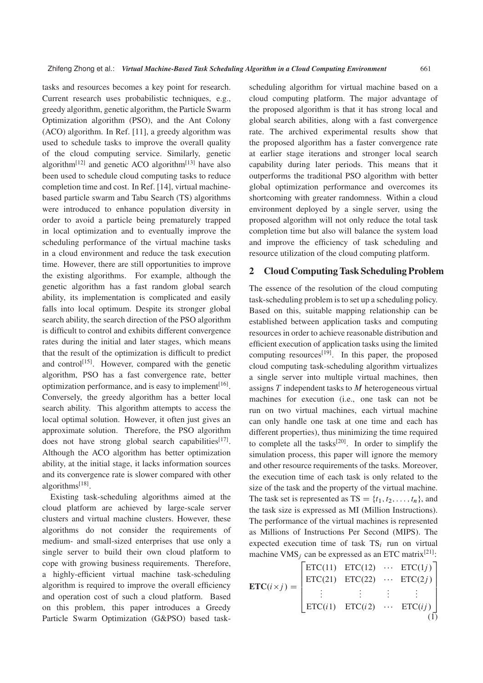tasks and resources becomes a key point for research. Current research uses probabilistic techniques, e.g., greedy algorithm, genetic algorithm, the Particle Swarm Optimization algorithm (PSO), and the Ant Colony (ACO) algorithm. In Ref. [11], a greedy algorithm was used to schedule tasks to improve the overall quality of the cloud computing service. Similarly, genetic algorithm<sup>[12]</sup> and genetic ACO algorithm<sup>[13]</sup> have also been used to schedule cloud computing tasks to reduce completion time and cost. In Ref. [14], virtual machinebased particle swarm and Tabu Search (TS) algorithms were introduced to enhance population diversity in order to avoid a particle being prematurely trapped in local optimization and to eventually improve the scheduling performance of the virtual machine tasks in a cloud environment and reduce the task execution time. However, there are still opportunities to improve the existing algorithms. For example, although the genetic algorithm has a fast random global search ability, its implementation is complicated and easily falls into local optimum. Despite its stronger global search ability, the search direction of the PSO algorithm is difficult to control and exhibits different convergence rates during the initial and later stages, which means that the result of the optimization is difficult to predict and control<sup>[15]</sup>. However, compared with the genetic algorithm, PSO has a fast convergence rate, better optimization performance, and is easy to implement $[16]$ . Conversely, the greedy algorithm has a better local search ability. This algorithm attempts to access the local optimal solution. However, it often just gives an approximate solution. Therefore, the PSO algorithm does not have strong global search capabilities<sup>[17]</sup>. Although the ACO algorithm has better optimization ability, at the initial stage, it lacks information sources and its convergence rate is slower compared with other algorithms[18].

Existing task-scheduling algorithms aimed at the cloud platform are achieved by large-scale server clusters and virtual machine clusters. However, these algorithms do not consider the requirements of medium- and small-sized enterprises that use only a single server to build their own cloud platform to cope with growing business requirements. Therefore, a highly-efficient virtual machine task-scheduling algorithm is required to improve the overall efficiency and operation cost of such a cloud platform. Based on this problem, this paper introduces a Greedy Particle Swarm Optimization (G&PSO) based task-

scheduling algorithm for virtual machine based on a cloud computing platform. The major advantage of the proposed algorithm is that it has strong local and global search abilities, along with a fast convergence rate. The archived experimental results show that the proposed algorithm has a faster convergence rate at earlier stage iterations and stronger local search capability during later periods. This means that it outperforms the traditional PSO algorithm with better global optimization performance and overcomes its shortcoming with greater randomness. Within a cloud environment deployed by a single server, using the proposed algorithm will not only reduce the total task completion time but also will balance the system load and improve the efficiency of task scheduling and resource utilization of the cloud computing platform.

### 2 Cloud Computing Task Scheduling Problem

The essence of the resolution of the cloud computing task-scheduling problem is to set up a scheduling policy. Based on this, suitable mapping relationship can be established between application tasks and computing resources in order to achieve reasonable distribution and efficient execution of application tasks using the limited computing resources<sup>[19]</sup>. In this paper, the proposed cloud computing task-scheduling algorithm virtualizes a single server into multiple virtual machines, then assigns T independent tasks to M heterogeneous virtual machines for execution (i.e., one task can not be run on two virtual machines, each virtual machine can only handle one task at one time and each has different properties), thus minimizing the time required to complete all the tasks<sup>[20]</sup>. In order to simplify the simulation process, this paper will ignore the memory and other resource requirements of the tasks. Moreover, the execution time of each task is only related to the size of the task and the property of the virtual machine. The task set is represented as  $TS = \{t_1, t_2, \ldots, t_n\}$ , and the task size is expressed as MI (Million Instructions). The performance of the virtual machines is represented as Millions of Instructions Per Second (MIPS). The expected execution time of task  $TS_i$  run on virtual machine VMS<sub>i</sub> can be expressed as an ETC matrix<sup>[21]</sup>:

$$
ETC(i \times j) = \begin{bmatrix} \text{ETC}(11) & \text{ETC}(12) & \cdots & \text{ETC}(1j) \\ \text{ETC}(21) & \text{ETC}(22) & \cdots & \text{ETC}(2j) \\ \vdots & \vdots & \vdots & \vdots \\ \text{ETC}(i1) & \text{ETC}(i2) & \cdots & \text{ETC}(ij) \\ \end{bmatrix}
$$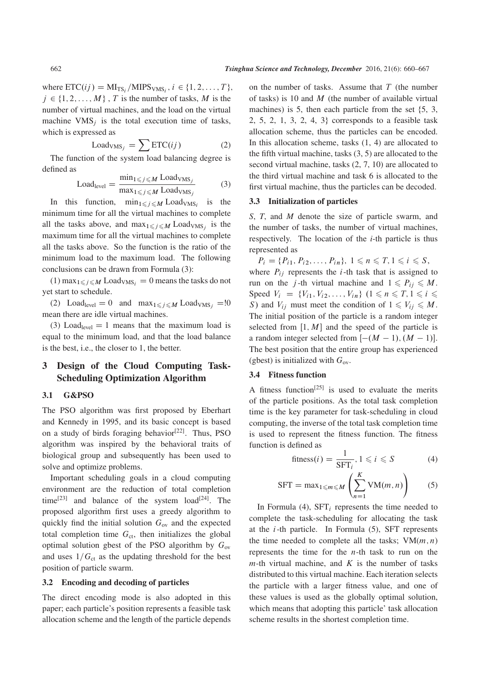$$
Load_{VMS_j} = \sum \text{ETC}(ij)
$$
 (2)

The function of the system load balancing degree is defined as

$$
Load_{level} = \frac{\min_{1 \le j \le M} Load_{VMS_j}}{\max_{1 \le j \le M} Load_{VMS_j}} \tag{3}
$$

In this function,  $\min_{1 \le j \le M}$  Load<sub>VMS<sub>i</sub> is the</sub> minimum time for all the virtual machines to complete all the tasks above, and  $\max_{1 \leq j \leq M}$  Load<sub>VMSj</sub> is the maximum time for all the virtual machines to complete all the tasks above. So the function is the ratio of the minimum load to the maximum load. The following conclusions can be drawn from Formula (3):

 $(1)$  max<sub>1</sub>  $\leq j \leq M$  Load<sub>VMSi</sub> = 0 means the tasks do not yet start to schedule.

(2) Load<sub>level</sub> = 0 and max<sub>1</sub>  $\leq j \leq M$  Load<sub>VMSj</sub> = !0 mean there are idle virtual machines.

(3) Load<sub>level</sub>  $= 1$  means that the maximum load is equal to the minimum load, and that the load balance is the best, i.e., the closer to 1, the better.

## 3 Design of the Cloud Computing Task-Scheduling Optimization Algorithm

#### 3.1 G&PSO

The PSO algorithm was first proposed by Eberhart and Kennedy in 1995, and its basic concept is based on a study of birds foraging behavior $[22]$ . Thus, PSO algorithm was inspired by the behavioral traits of biological group and subsequently has been used to solve and optimize problems.

Important scheduling goals in a cloud computing environment are the reduction of total completion time<sup>[23]</sup> and balance of the system  $load^{[24]}$ . The proposed algorithm first uses a greedy algorithm to quickly find the initial solution  $G_{\text{ov}}$  and the expected total completion time  $G_{ct}$ , then initializes the global optimal solution gbest of the PSO algorithm by  $G_{\text{ov}}$ and uses  $1/G_{ct}$  as the updating threshold for the best position of particle swarm.

#### 3.2 Encoding and decoding of particles

The direct encoding mode is also adopted in this paper; each particle's position represents a feasible task allocation scheme and the length of the particle depends

on the number of tasks. Assume that  $T$  (the number of tasks) is 10 and  $M$  (the number of available virtual machines) is 5, then each particle from the set  $\{5, 3, \ldots\}$ 2, 5, 2, 1, 3, 2, 4, 3} corresponds to a feasible task allocation scheme, thus the particles can be encoded. In this allocation scheme, tasks (1, 4) are allocated to the fifth virtual machine, tasks (3, 5) are allocated to the second virtual machine, tasks (2, 7, 10) are allocated to the third virtual machine and task 6 is allocated to the first virtual machine, thus the particles can be decoded.

#### 3.3 Initialization of particles

*S*, *T*, and *M* denote the size of particle swarm, and the number of tasks, the number of virtual machines, respectively. The location of the *i*-th particle is thus represented as

 $P_i = \{P_{i1}, P_{i2}, \ldots, P_{in}\}, 1 \leq n \leq T, 1 \leq i \leq S,$ <br>some  $P_{i,j}$  represents the *i* th took that is assigned where  $P_{ij}$  represents the *i*-th task that is assigned to run on the *j*-th virtual machine and  $1 \leq P_{ij} \leq M$ . Speed  $V_i = \{V_{i1}, V_{i2}, \ldots, V_{in}\}\ (1 \leq n \leq T, 1 \leq i \leq S)$  and  $V_i$ , must meet the condition of  $1 \leq V_i \leq M$ . S) and  $V_{ij}$  must meet the condition of  $1 \leq V_{ij} \leq M$ . The initial position of the particle is a random integer selected from  $[1, M]$  and the speed of the particle is a random integer selected from  $[-(M - 1), (M - 1)]$ .<br>The best position that the entire group has experienced The best position that the entire group has experienced (gbest) is initialized with  $G_{\text{ov}}$ .

## 3.4 Fitness function

A fitness function<sup>[25]</sup> is used to evaluate the merits of the particle positions. As the total task completion time is the key parameter for task-scheduling in cloud computing, the inverse of the total task completion time is used to represent the fitness function. The fitness function is defined as

$$
\text{fitness}(i) = \frac{1}{\text{SFT}_i}, 1 \leq i \leq S \tag{4}
$$

$$
SFT = \max_{1 \le m \le M} \left( \sum_{n=1}^{K} VM(m, n) \right) \qquad (5)
$$

In Formula (4),  $SFT_i$  represents the time needed to complete the task-scheduling for allocating the task at the  $i$ -th particle. In Formula  $(5)$ , SFT represents the time needed to complete all the tasks;  $VM(m, n)$ represents the time for the  $n$ -th task to run on the  $m$ -th virtual machine, and  $K$  is the number of tasks distributed to this virtual machine. Each iteration selects the particle with a larger fitness value, and one of these values is used as the globally optimal solution, which means that adopting this particle' task allocation scheme results in the shortest completion time.

which is expressed as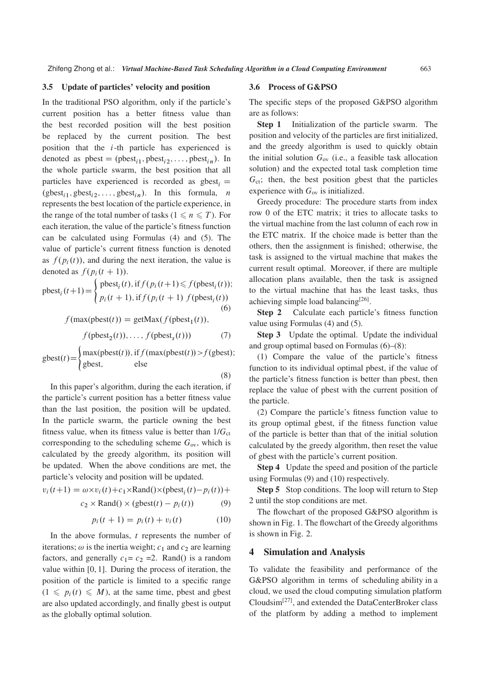#### 3.5 Update of particles' velocity and position

In the traditional PSO algorithm, only if the particle's current position has a better fitness value than the best recorded position will the best position be replaced by the current position. The best position that the  $i$ -th particle has experienced is denoted as  $pbest = (pbest_{i1}, pbest_{i2}, \ldots, pbest_{in}).$  In the whole particle swarm, the best position that all particles have experienced is recorded as  $gbest_i =$  $(gbest_{i1}, gbest_{i2}, \ldots, gbest_{in}).$  In this formula, *n* represents the best location of the particle experience, in the range of the total number of tasks  $(1 \le n \le T)$ . For each iteration, the value of the particle's fitness function can be calculated using Formulas (4) and (5). The value of particle's current fitness function is denoted as  $f(p_i(t))$ , and during the next iteration, the value is denoted as  $f(p_i(t + 1))$ .

$$
\text{pbest}_i(t+1) = \begin{cases} \text{pbest}_i(t), \text{if } f(p_i(t+1) \leq f(\text{pbest}_i(t)); \\ p_i(t+1), \text{if } f(p_i(t+1) \ f(\text{pbest}_i(t))) \end{cases} \tag{6}
$$

 $f$ (max(pbest(t)) = getMax( $f$ (pbest<sub>1</sub>(t)),

$$
f(\text{pbest}_2(t)), \dots, f(\text{pbest}_s(t))) \tag{7}
$$

 $gbest(t) =$  $\begin{cases} \max(\text{pbest}(t)), \text{if } f(\max(\text{pbest}(t)) > f(\text{gbest});\\ \text{gbest}, \text{else} \end{cases}$ (8)

In this paper's algorithm, during the each iteration, if the particle's current position has a better fitness value than the last position, the position will be updated. In the particle swarm, the particle owning the best fitness value, when its fitness value is better than  $1/G_{ct}$ corresponding to the scheduling scheme  $G_{\text{ov}}$ , which is calculated by the greedy algorithm, its position will be updated. When the above conditions are met, the particle's velocity and position will be updated.

$$
v_i(t+1) = \omega \times v_i(t) + c_1 \times \text{Rand}(\times (\text{pbest}_i(t) - p_i(t)) +
$$
  

$$
c_2 \times \text{Rand}(\times (\text{gbest}(t) - p_i(t)) \tag{9}
$$

$$
p_i(t + 1) = p_i(t) + v_i(t)
$$
 (10)

In the above formulas,  $t$  represents the number of iterations;  $\omega$  is the inertia weight;  $c_1$  and  $c_2$  are learning factors, and generally  $c_1 = c_2 = 2$ . Rand.() is a random value within [0, 1]. During the process of iteration, the position of the particle is limited to a specific range  $(1 \leq p_i(t) \leq M)$ , at the same time, pbest and gbest are also updated accordingly, and finally gbest is output as the globally optimal solution.

#### 3.6 Process of G&PSO

The specific steps of the proposed G&PSO algorithm are as follows:

Step 1 Initialization of the particle swarm. The position and velocity of the particles are first initialized, and the greedy algorithm is used to quickly obtain the initial solution  $G_{ov}$  (i.e., a feasible task allocation solution) and the expected total task completion time  $G_{ct}$ ; then, the best position gbest that the particles experience with  $G_{\text{ov}}$  is initialized.

Greedy procedure: The procedure starts from index row 0 of the ETC matrix; it tries to allocate tasks to the virtual machine from the last column of each row in the ETC matrix. If the choice made is better than the others, then the assignment is finished; otherwise, the task is assigned to the virtual machine that makes the current result optimal. Moreover, if there are multiple allocation plans available, then the task is assigned to the virtual machine that has the least tasks, thus achieving simple load balancing<sup>[26]</sup>.

Step 2 Calculate each particle's fitness function value using Formulas (4) and (5).

**Step 3** Update the optimal. Update the individual and group optimal based on Formulas (6)–(8):

(1) Compare the value of the particle's fitness function to its individual optimal pbest, if the value of the particle's fitness function is better than pbest, then replace the value of pbest with the current position of the particle.

(2) Compare the particle's fitness function value to its group optimal gbest, if the fitness function value of the particle is better than that of the initial solution calculated by the greedy algorithm, then reset the value of gbest with the particle's current position.

Step 4 Update the speed and position of the particle using Formulas (9) and (10) respectively.

Step 5 Stop conditions. The loop will return to Step 2 until the stop conditions are met.

The flowchart of the proposed G&PSO algorithm is shown in Fig. 1. The flowchart of the Greedy algorithms is shown in Fig. 2.

#### 4 Simulation and Analysis

To validate the feasibility and performance of the G&PSO algorithm in terms of scheduling ability in a cloud, we used the cloud computing simulation platform Cloudsim[27], and extended the DataCenterBroker class of the platform by adding a method to implement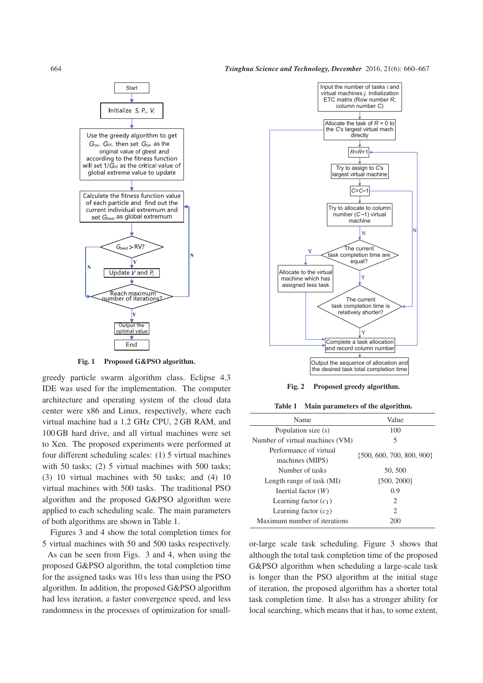

Fig. 1 Proposed G&PSO algorithm.

greedy particle swarm algorithm class. Eclipse 4.3 IDE was used for the implementation. The computer architecture and operating system of the cloud data center were x86 and Linux, respectively, where each virtual machine had a 1.2 GHz CPU, 2 GB RAM, and 100 GB hard drive, and all virtual machines were set to Xen. The proposed experiments were performed at four different scheduling scales: (1) 5 virtual machines with 50 tasks; (2) 5 virtual machines with 500 tasks; (3) 10 virtual machines with 50 tasks; and (4) 10 virtual machines with 500 tasks. The traditional PSO algorithm and the proposed G&PSO algorithm were applied to each scheduling scale. The main parameters of both algorithms are shown in Table 1.

Figures 3 and 4 show the total completion times for 5 virtual machines with 50 and 500 tasks respectively.

As can be seen from Figs. 3 and 4, when using the proposed G&PSO algorithm, the total completion time for the assigned tasks was 10 s less than using the PSO algorithm. In addition, the proposed G&PSO algorithm had less iteration, a faster convergence speed, and less randomness in the processes of optimization for small-



Fig. 2 Proposed greedy algorithm.

Table 1 Main parameters of the algorithm.

| Name                            | Value                       |
|---------------------------------|-----------------------------|
| Population size (s)             | 100                         |
| Number of virtual machines (VM) | 5                           |
| Performance of virtual          | {500, 600, 700, 800, 900}   |
| machines (MIPS)                 |                             |
| Number of tasks                 | 50, 500                     |
| Length range of task (MI)       | [500, 2000]                 |
| Inertial factor $(W)$           | 0.9                         |
| Learning factor $(c_1)$         | 2                           |
| Learning factor $(c_2)$         | $\mathcal{D}_{\mathcal{A}}$ |
| Maximum number of iterations    | 200                         |

or-large scale task scheduling. Figure 3 shows that although the total task completion time of the proposed G&PSO algorithm when scheduling a large-scale task is longer than the PSO algorithm at the initial stage of iteration, the proposed algorithm has a shorter total task completion time. It also has a stronger ability for local searching, which means that it has, to some extent,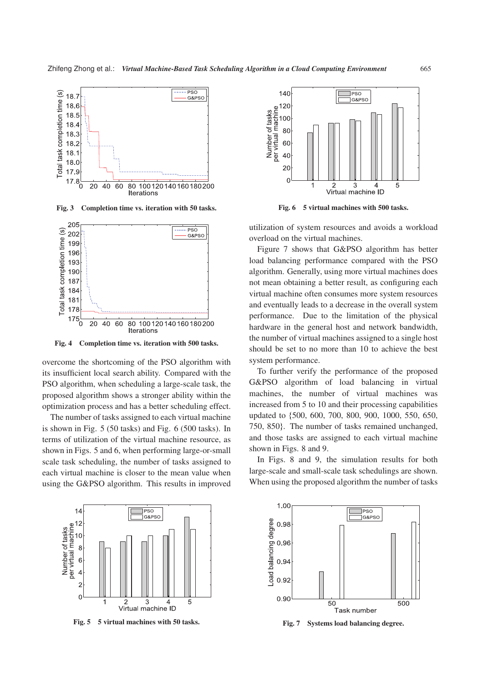

Fig. 3 Completion time vs. iteration with 50 tasks.



Fig. 4 Completion time vs. iteration with 500 tasks.

overcome the shortcoming of the PSO algorithm with its insufficient local search ability. Compared with the PSO algorithm, when scheduling a large-scale task, the proposed algorithm shows a stronger ability within the optimization process and has a better scheduling effect.

The number of tasks assigned to each virtual machine is shown in Fig. 5 (50 tasks) and Fig. 6 (500 tasks). In terms of utilization of the virtual machine resource, as shown in Figs. 5 and 6, when performing large-or-small scale task scheduling, the number of tasks assigned to each virtual machine is closer to the mean value when using the G&PSO algorithm. This results in improved



Fig. 5 5 virtual machines with 50 tasks.



Fig. 6 5 virtual machines with 500 tasks.

utilization of system resources and avoids a workload overload on the virtual machines.

Figure 7 shows that G&PSO algorithm has better load balancing performance compared with the PSO algorithm. Generally, using more virtual machines does not mean obtaining a better result, as configuring each virtual machine often consumes more system resources and eventually leads to a decrease in the overall system performance. Due to the limitation of the physical hardware in the general host and network bandwidth, the number of virtual machines assigned to a single host should be set to no more than 10 to achieve the best system performance.

To further verify the performance of the proposed G&PSO algorithm of load balancing in virtual machines, the number of virtual machines was increased from 5 to 10 and their processing capabilities updated to  $\{500, 600, 700, 800, 900, 1000, 550, 650,$ 750, 850}. The number of tasks remained unchanged, and those tasks are assigned to each virtual machine shown in Figs. 8 and 9.

In Figs. 8 and 9, the simulation results for both large-scale and small-scale task schedulings are shown. When using the proposed algorithm the number of tasks



Fig. 7 Systems load balancing degree.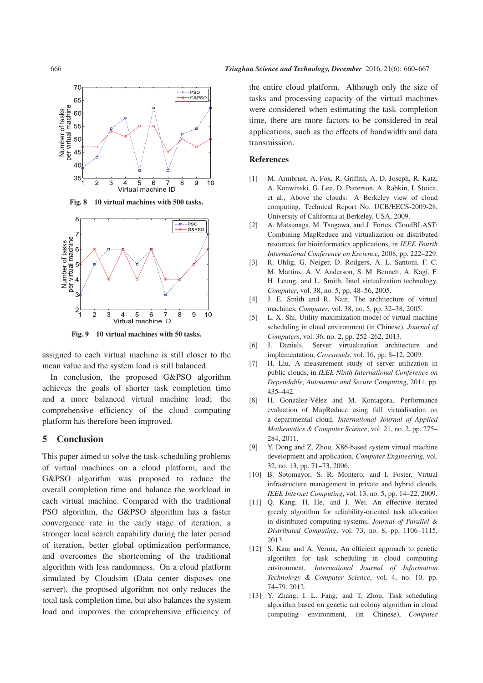

Fig. 8 10 virtual machines with 500 tasks.



Fig. 9 10 virtual machines with 50 tasks.

assigned to each virtual machine is still closer to the mean value and the system load is still balanced.

In conclusion, the proposed G&PSO algorithm achieves the goals of shorter task completion time and a more balanced virtual machine load; the comprehensive efficiency of the cloud computing platform has therefore been improved.

### 5 Conclusion

This paper aimed to solve the task-scheduling problems of virtual machines on a cloud platform, and the G&PSO algorithm was proposed to reduce the overall completion time and balance the workload in each virtual machine. Compared with the traditional PSO algorithm, the G&PSO algorithm has a faster convergence rate in the early stage of iteration, a stronger local search capability during the later period of iteration, better global optimization performance, and overcomes the shortcoming of the traditional algorithm with less randomness. On a cloud platform simulated by Cloudsim (Data center disposes one server), the proposed algorithm not only reduces the total task completion time, but also balances the system load and improves the comprehensive efficiency of the entire cloud platform. Although only the size of tasks and processing capacity of the virtual machines were considered when estimating the task completion time, there are more factors to be considered in real applications, such as the effects of bandwidth and data transmission.

#### References

- [1] M. Armbrust, A. Fox, R. Griffith, A. D. Joseph, R. Katz, A. Konwinski, G. Lee, D. Patterson, A. Rabkin, I. Stoica, et al., Above the clouds: A Berkeley view of cloud computing, Technical Report No. UCB/EECS-2009-28, University of California at Berkeley, USA, 2009.
- [2] A. Matsunaga, M. Tsugawa, and J. Fortes, CloudBLAST: Combining MapReduce and virtualization on distributed resources for bioinformatics applications, in *IEEE Fourth International Conference on Escience*, 2008, pp. 222–229.
- [3] R. Uhlig, G. Neiger, D. Rodgers, A. L. Santoni, F. C. M. Martins, A. V. Anderson, S. M. Bennett, A. Kagi, F. H. Leung, and L. Smith, Intel virtualization technology, *Computer*, vol. 38, no. 5, pp. 48–56, 2005.
- [4] J. E. Smith and R. Nair, The architecture of virtual machines, *Computer*, vol. 38, no. 5, pp. 32–38, 2005.
- [5] L. X. Shi, Utility maximization model of virtual machine scheduling in cloud environment (in Chinese), *Journal of Computers*, vol. 36, no. 2, pp. 252–262, 2013.
- [6] J. Daniels, Server virtualization architecture and implementation, *Crossroads*, vol. 16, pp. 8–12, 2009.
- [7] H. Liu, A measurement study of server utilization in public clouds, in *IEEE Ninth International Conference on Dependable, Autonomic and Secure Computing*, 2011, pp. 435–442.
- [8] H. González-Vélez and M. Kontagora, Performance evaluation of MapReduce using full virtualisation on a departmental cloud, *International Journal of Applied Mathematics & Computer Science*, vol. 21, no. 2, pp. 275– 284, 2011.
- [9] Y. Dong and Z. Zhou, X86-based system virtual machine development and application, *Computer Engineering,* vol. 32, no. 13, pp. 71–73, 2006.
- [10] B. Sotomayor, S. R. Montero, and I. Foster, Virtual infrastructure management in private and hybrid clouds, *IEEE Internet Computing*, vol. 13, no. 5, pp. 14–22, 2009.
- [11] Q. Kang, H. He, and J. Wei. An effective iterated greedy algorithm for reliability-oriented task allocation in distributed computing systems, *Journal of Parallel & Distributed Computing*, vol. 73, no. 8, pp. 1106–1115, 2013.
- [12] S. Kaur and A. Verma, An efficient approach to genetic algorithm for task scheduling in cloud computing environment, *International Journal of Information Technology & Computer Science*, vol. 4, no. 10, pp. 74–79, 2012.
- [13] Y. Zhang, I. L. Fang, and T. Zhou, Task scheduling algorithm based on genetic ant colony algorithm in cloud computing environment, (in Chinese), *Computer*